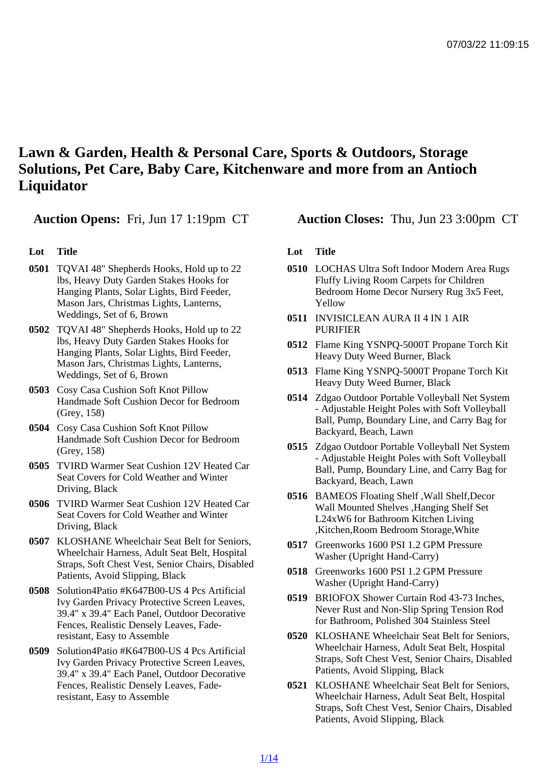## Lawn & Garden, Health & Personal Care, Sports & Outdoors, Storage Solutions, Pet Care, Baby Care, Kitchenware and more from an Antioch **Liquidator**

## Lot Title

- 0501 TQVAI 48" Shepherds Hooks, Hold up to 22 lbs, Heavy Duty Garden Stakes Hooks for Hanging Plants, Solar Lights, Bird Feeder, Mason Jars, Christmas Lights, Lanterns, Weddings, Set of 6, Brown
- 0502 TQVAI 48" Shepherds Hooks, Hold up to 22 lbs, Heavy Duty Garden Stakes Hooks for Hanging Plants, Solar Lights, Bird Feeder, Mason Jars, Christmas Lights, Lanterns, Weddings, Set of 6, Brown
- 0503 Cosy Casa Cushion Soft Knot Pillow Handmade Soft Cushion Decor for Bedroom (Grey, 158)
- 0504 Cosy Casa Cushion Soft Knot Pillow Handmade Soft Cushion Decor for Bedroom (Grey, 158)
- 0505 TVIRD Warmer Seat Cushion 12V Heated Car Seat Covers for Cold Weather and Winter Driving, Black
- 0506 TVIRD Warmer Seat Cushion 12V Heated Car Seat Covers for Cold Weather and Winter Driving, Black
- 0507 KLOSHANE Wheelchair Seat Belt for Seniors, Wheelchair Harness, Adult Seat Belt, Hospital Straps, Soft Chest Vest, Senior Chairs, Disabled Patients, Avoid Slipping, Black
- 0508 Solution4Patio #K647B00-US 4 Pcs Artificial Ivy Garden Privacy Protective Screen Leaves, 39.4" x 39.4" Each Panel, Outdoor Decorative Fences, Realistic Densely Leaves, Faderesistant, Easy to Assemble
- 0509 Solution4Patio #K647B00-US 4 Pcs Artificial Ivy Garden Privacy Protective Screen Leaves, 39.4" x 39.4" Each Panel, Outdoor Decorative Fences, Realistic Densely Leaves, Faderesistant, Easy to Assemble

Auction Opens: Fri, Jun 17 1:19pm CT Auction Closes: Thu, Jun 23 3:00pm CT

## Lot Title

- 0510 LOCHAS Ultra Soft Indoor Modern Area Rugs Fluffy Living Room Carpets for Children Bedroom Home Decor Nursery Rug 3x5 Feet, Yellow
- 0511 INVISICLEAN AURA II 4 IN 1 AIR PURIFIER
- 0512 Flame King YSNPQ-5000T Propane Torch Kit Heavy Duty Weed Burner, Black
- 0513 Flame King YSNPQ-5000T Propane Torch Kit Heavy Duty Weed Burner, Black
- 0514 Zdgao Outdoor Portable Volleyball Net System - Adjustable Height Poles with Soft Volleyball Ball, Pump, Boundary Line, and Carry Bag for Backyard, Beach, Lawn
- 0515 Zdgao Outdoor Portable Volleyball Net System - Adjustable Height Poles with Soft Volleyball Ball, Pump, Boundary Line, and Carry Bag for Backyard, Beach, Lawn
- 0516 BAMEOS Floating Shelf ,Wall Shelf,Decor Wall Mounted Shelves ,Hanging Shelf Set L24xW6 for Bathroom Kitchen Living ,Kitchen,Room Bedroom Storage,White
- 0517 Greenworks 1600 PSI 1.2 GPM Pressure Washer (Upright Hand-Carry)
- 0518 Greenworks 1600 PSI 1.2 GPM Pressure Washer (Upright Hand-Carry)
- 0519 BRIOFOX Shower Curtain Rod 43-73 Inches, Never Rust and Non-Slip Spring Tension Rod for Bathroom, Polished 304 Stainless Steel
- 0520 KLOSHANE Wheelchair Seat Belt for Seniors, Wheelchair Harness, Adult Seat Belt, Hospital Straps, Soft Chest Vest, Senior Chairs, Disabled Patients, Avoid Slipping, Black
- 0521 KLOSHANE Wheelchair Seat Belt for Seniors, Wheelchair Harness, Adult Seat Belt, Hospital Straps, Soft Chest Vest, Senior Chairs, Disabled Patients, Avoid Slipping, Black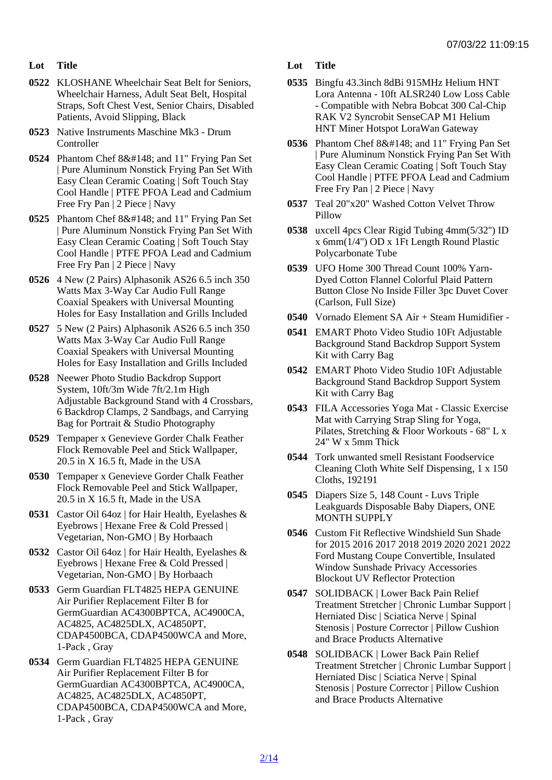- Lot Title
- 0522 KLOSHANE Wheelchair Seat Belt for Seniors, Wheelchair Harness, Adult Seat Belt, Hospital Straps, Soft Chest Vest, Senior Chairs, Disabled Patients, Avoid Slipping, Black
- 0523 Native Instruments Maschine Mk3 Drum **Controller**
- 0524 Phantom Chef 8" and 11" Frying Pan Set | Pure Aluminum Nonstick Frying Pan Set With Easy Clean Ceramic Coating | Soft Touch Stay Cool Handle | PTFE PFOA Lead and Cadmium Free Fry Pan | 2 Piece | Navy
- 0525 Phantom Chef 8" and 11" Frying Pan Set | Pure Aluminum Nonstick Frying Pan Set With Easy Clean Ceramic Coating | Soft Touch Stay Cool Handle | PTFE PFOA Lead and Cadmium Free Fry Pan | 2 Piece | Navy
- 0526 4 New (2 Pairs) Alphasonik AS26 6.5 inch 350 Watts Max 3-Way Car Audio Full Range Coaxial Speakers with Universal Mounting Holes for Easy Installation and Grills Included
- 0527 5 New (2 Pairs) Alphasonik AS26 6.5 inch 350 Watts Max 3-Way Car Audio Full Range Coaxial Speakers with Universal Mounting Holes for Easy Installation and Grills Included
- 0528 Neewer Photo Studio Backdrop Support System, 10ft/3m Wide 7ft/2.1m High Adjustable Background Stand with 4 Crossbars, 6 Backdrop Clamps, 2 Sandbags, and Carrying Bag for Portrait & Studio Photography
- 0529 Tempaper x Genevieve Gorder Chalk Feather Flock Removable Peel and Stick Wallpaper, 20.5 in X 16.5 ft, Made in the USA
- 0530 Tempaper x Genevieve Gorder Chalk Feather Flock Removable Peel and Stick Wallpaper, 20.5 in X 16.5 ft, Made in the USA
- 0531 Castor Oil 64oz | for Hair Health, Eyelashes & Eyebrows | Hexane Free & Cold Pressed | Vegetarian, Non-GMO | By Horbaach
- 0532 Castor Oil 64oz | for Hair Health, Eyelashes & Eyebrows | Hexane Free & Cold Pressed | Vegetarian, Non-GMO | By Horbaach
- 0533 Germ Guardian FLT4825 HEPA GENUINE Air Purifier Replacement Filter B for GermGuardian AC4300BPTCA, AC4900CA, AC4825, AC4825DLX, AC4850PT, CDAP4500BCA, CDAP4500WCA and More, 1-Pack , Gray
- 0534 Germ Guardian FLT4825 HEPA GENUINE Air Purifier Replacement Filter B for GermGuardian AC4300BPTCA, AC4900CA, AC4825, AC4825DLX, AC4850PT, CDAP4500BCA, CDAP4500WCA and More, 1-Pack , Gray
- Lot Title
- 0535 Bingfu 43.3inch 8dBi 915MHz Helium HNT Lora Antenna - 10ft ALSR240 Low Loss Cable - Compatible with Nebra Bobcat 300 Cal-Chip RAK V2 Syncrobit SenseCAP M1 Helium HNT Miner Hotspot LoraWan Gateway
- 0536 Phantom Chef 8" and 11" Frying Pan Set | Pure Aluminum Nonstick Frying Pan Set With Easy Clean Ceramic Coating | Soft Touch Stay Cool Handle | PTFE PFOA Lead and Cadmium Free Fry Pan | 2 Piece | Navy
- 0537 Teal 20"x20" Washed Cotton Velvet Throw Pillow
- 0538 uxcell 4pcs Clear Rigid Tubing 4mm(5/32'') ID x 6mm(1/4'') OD x 1Ft Length Round Plastic Polycarbonate Tube
- 0539 UFO Home 300 Thread Count 100% Yarn-Dyed Cotton Flannel Colorful Plaid Pattern Button Close No Inside Filler 3pc Duvet Cover (Carlson, Full Size)
- 0540 Vornado Element SA Air + Steam Humidifier -
- 0541 EMART Photo Video Studio 10Ft Adjustable Background Stand Backdrop Support System Kit with Carry Bag
- 0542 EMART Photo Video Studio 10Ft Adjustable Background Stand Backdrop Support System Kit with Carry Bag
- 0543 FILA Accessories Yoga Mat Classic Exercise Mat with Carrying Strap Sling for Yoga, Pilates, Stretching & Floor Workouts - 68" L x 24" W x 5mm Thick
- 0544 Tork unwanted smell Resistant Foodservice Cleaning Cloth White Self Dispensing, 1 x 150 Cloths, 192191
- 0545 Diapers Size 5, 148 Count Luvs Triple Leakguards Disposable Baby Diapers, ONE MONTH SUPPLY
- 0546 Custom Fit Reflective Windshield Sun Shade for 2015 2016 2017 2018 2019 2020 2021 2022 Ford Mustang Coupe Convertible, Insulated Window Sunshade Privacy Accessories Blockout UV Reflector Protection
- 0547 SOLIDBACK | Lower Back Pain Relief Treatment Stretcher | Chronic Lumbar Support | Herniated Disc | Sciatica Nerve | Spinal Stenosis | Posture Corrector | Pillow Cushion and Brace Products Alternative
- 0548 SOLIDBACK | Lower Back Pain Relief Treatment Stretcher | Chronic Lumbar Support | Herniated Disc | Sciatica Nerve | Spinal Stenosis | Posture Corrector | Pillow Cushion and Brace Products Alternative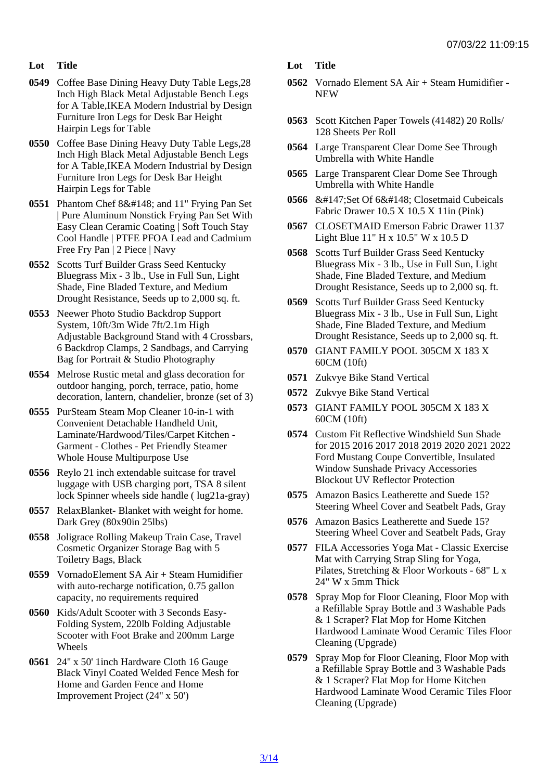- Lot Title
- 0549 Coffee Base Dining Heavy Duty Table Legs,28 Inch High Black Metal Adjustable Bench Legs for A Table,IKEA Modern Industrial by Design Furniture Iron Legs for Desk Bar Height Hairpin Legs for Table
- 0550 Coffee Base Dining Heavy Duty Table Legs,28 Inch High Black Metal Adjustable Bench Legs for A Table,IKEA Modern Industrial by Design Furniture Iron Legs for Desk Bar Height Hairpin Legs for Table
- 0551 Phantom Chef 8" and 11" Frying Pan Set | Pure Aluminum Nonstick Frying Pan Set With Easy Clean Ceramic Coating | Soft Touch Stay Cool Handle | PTFE PFOA Lead and Cadmium Free Fry Pan | 2 Piece | Navy
- 0552 Scotts Turf Builder Grass Seed Kentucky Bluegrass Mix - 3 lb., Use in Full Sun, Light Shade, Fine Bladed Texture, and Medium Drought Resistance, Seeds up to 2,000 sq. ft.
- 0553 Neewer Photo Studio Backdrop Support System, 10ft/3m Wide 7ft/2.1m High Adjustable Background Stand with 4 Crossbars, 6 Backdrop Clamps, 2 Sandbags, and Carrying Bag for Portrait & Studio Photography
- 0554 Melrose Rustic metal and glass decoration for outdoor hanging, porch, terrace, patio, home decoration, lantern, chandelier, bronze (set of 3)
- 0555 PurSteam Steam Mop Cleaner 10-in-1 with Convenient Detachable Handheld Unit, Laminate/Hardwood/Tiles/Carpet Kitchen - Garment - Clothes - Pet Friendly Steamer Whole House Multipurpose Use
- 0556 Reylo 21 inch extendable suitcase for travel luggage with USB charging port, TSA 8 silent lock Spinner wheels side handle ( lug21a-gray)
- 0557 RelaxBlanket- Blanket with weight for home. Dark Grey (80x90in 25lbs)
- 0558 Joligrace Rolling Makeup Train Case, Travel Cosmetic Organizer Storage Bag with 5 Toiletry Bags, Black
- 0559 VornadoElement SA Air + Steam Humidifier with auto-recharge notification, 0.75 gallon capacity, no requirements required
- 0560 Kids/Adult Scooter with 3 Seconds Easy-Folding System, 220lb Folding Adjustable Scooter with Foot Brake and 200mm Large Wheels
- 0561 24'' x 50' 1inch Hardware Cloth 16 Gauge Black Vinyl Coated Welded Fence Mesh for Home and Garden Fence and Home Improvement Project (24'' x 50')
- Lot Title
- 0562 Vornado Element SA Air + Steam Humidifier **NEW**
- 0563 Scott Kitchen Paper Towels (41482) 20 Rolls/ 128 Sheets Per Roll
- 0564 Large Transparent Clear Dome See Through Umbrella with White Handle
- 0565 Large Transparent Clear Dome See Through Umbrella with White Handle
- 0566 " Set Of 6" Closetmaid Cubeicals Fabric Drawer 10.5 X 10.5 X 11in (Pink)
- 0567 CLOSETMAID Emerson Fabric Drawer 1137 Light Blue 11" H x 10.5" W x 10.5 D
- 0568 Scotts Turf Builder Grass Seed Kentucky Bluegrass Mix - 3 lb., Use in Full Sun, Light Shade, Fine Bladed Texture, and Medium Drought Resistance, Seeds up to 2,000 sq. ft.
- 0569 Scotts Turf Builder Grass Seed Kentucky Bluegrass Mix - 3 lb., Use in Full Sun, Light Shade, Fine Bladed Texture, and Medium Drought Resistance, Seeds up to 2,000 sq. ft.
- 0570 GIANT FAMILY POOL 305CM X 183 X 60CM (10ft)
- 0571 Zukvye Bike Stand Vertical
- 0572 Zukvye Bike Stand Vertical
- 0573 GIANT FAMILY POOL 305CM X 183 X 60CM (10ft)
- 0574 Custom Fit Reflective Windshield Sun Shade for 2015 2016 2017 2018 2019 2020 2021 2022 Ford Mustang Coupe Convertible, Insulated Window Sunshade Privacy Accessories Blockout UV Reflector Protection
- 0575 Amazon Basics Leatherette and Suede 15? Steering Wheel Cover and Seatbelt Pads, Gray
- 0576 Amazon Basics Leatherette and Suede 15? Steering Wheel Cover and Seatbelt Pads, Gray
- 0577 FILA Accessories Yoga Mat Classic Exercise Mat with Carrying Strap Sling for Yoga, Pilates, Stretching & Floor Workouts - 68" L x 24" W x 5mm Thick
- 0578 Spray Mop for Floor Cleaning, Floor Mop with a Refillable Spray Bottle and 3 Washable Pads & 1 Scraper? Flat Mop for Home Kitchen Hardwood Laminate Wood Ceramic Tiles Floor Cleaning (Upgrade)
- 0579 Spray Mop for Floor Cleaning, Floor Mop with a Refillable Spray Bottle and 3 Washable Pads & 1 Scraper? Flat Mop for Home Kitchen Hardwood Laminate Wood Ceramic Tiles Floor Cleaning (Upgrade)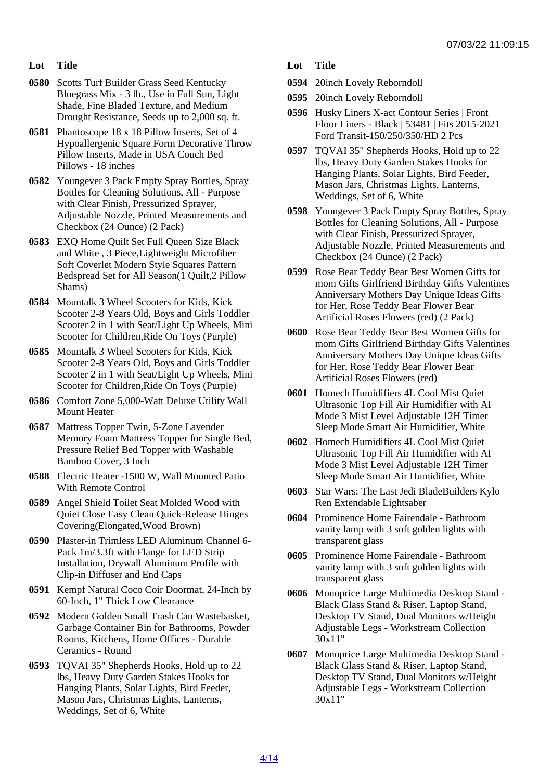- Lot Title
- 0580 Scotts Turf Builder Grass Seed Kentucky Bluegrass Mix - 3 lb., Use in Full Sun, Light Shade, Fine Bladed Texture, and Medium Drought Resistance, Seeds up to 2,000 sq. ft.
- 0581 Phantoscope 18 x 18 Pillow Inserts, Set of 4 Hypoallergenic Square Form Decorative Throw Pillow Inserts, Made in USA Couch Bed Pillows - 18 inches
- 0582 Youngever 3 Pack Empty Spray Bottles, Spray Bottles for Cleaning Solutions, All - Purpose with Clear Finish, Pressurized Sprayer, Adjustable Nozzle, Printed Measurements and Checkbox (24 Ounce) (2 Pack)
- 0583 EXQ Home Quilt Set Full Queen Size Black and White , 3 Piece,Lightweight Microfiber Soft Coverlet Modern Style Squares Pattern Bedspread Set for All Season(1 Quilt,2 Pillow Shams)
- 0584 Mountalk 3 Wheel Scooters for Kids, Kick Scooter 2-8 Years Old, Boys and Girls Toddler Scooter 2 in 1 with Seat/Light Up Wheels, Mini Scooter for Children,Ride On Toys (Purple)
- 0585 Mountalk 3 Wheel Scooters for Kids, Kick Scooter 2-8 Years Old, Boys and Girls Toddler Scooter 2 in 1 with Seat/Light Up Wheels, Mini Scooter for Children,Ride On Toys (Purple)
- 0586 Comfort Zone 5,000-Watt Deluxe Utility Wall Mount Heater
- 0587 Mattress Topper Twin, 5-Zone Lavender Memory Foam Mattress Topper for Single Bed, Pressure Relief Bed Topper with Washable Bamboo Cover, 3 Inch
- 0588 Electric Heater -1500 W, Wall Mounted Patio With Remote Control
- 0589 Angel Shield Toilet Seat Molded Wood with Quiet Close Easy Clean Quick-Release Hinges Covering(Elongated,Wood Brown)
- 0590 Plaster-in Trimless LED Aluminum Channel 6- Pack 1m/3.3ft with Flange for LED Strip Installation, Drywall Aluminum Profile with Clip-in Diffuser and End Caps
- 0591 Kempf Natural Coco Coir Doormat, 24-Inch by 60-Inch, 1" Thick Low Clearance
- 0592 Modern Golden Small Trash Can Wastebasket, Garbage Container Bin for Bathrooms, Powder Rooms, Kitchens, Home Offices - Durable Ceramics - Round
- 0593 TQVAI 35" Shepherds Hooks, Hold up to 22 lbs, Heavy Duty Garden Stakes Hooks for Hanging Plants, Solar Lights, Bird Feeder, Mason Jars, Christmas Lights, Lanterns, Weddings, Set of 6, White
- Lot Title
- 0594 20inch Lovely Reborndoll
- 0595 20inch Lovely Reborndoll
- 0596 Husky Liners X-act Contour Series | Front Floor Liners - Black | 53481 | Fits 2015-2021 Ford Transit-150/250/350/HD 2 Pcs
- 0597 TQVAI 35" Shepherds Hooks, Hold up to 22 lbs, Heavy Duty Garden Stakes Hooks for Hanging Plants, Solar Lights, Bird Feeder, Mason Jars, Christmas Lights, Lanterns, Weddings, Set of 6, White
- 0598 Youngever 3 Pack Empty Spray Bottles, Spray Bottles for Cleaning Solutions, All - Purpose with Clear Finish, Pressurized Sprayer, Adjustable Nozzle, Printed Measurements and Checkbox (24 Ounce) (2 Pack)
- 0599 Rose Bear Teddy Bear Best Women Gifts for mom Gifts Girlfriend Birthday Gifts Valentines Anniversary Mothers Day Unique Ideas Gifts for Her, Rose Teddy Bear Flower Bear Artificial Roses Flowers (red) (2 Pack)
- 0600 Rose Bear Teddy Bear Best Women Gifts for mom Gifts Girlfriend Birthday Gifts Valentines Anniversary Mothers Day Unique Ideas Gifts for Her, Rose Teddy Bear Flower Bear Artificial Roses Flowers (red)
- 0601 Homech Humidifiers 4L Cool Mist Quiet Ultrasonic Top Fill Air Humidifier with AI Mode 3 Mist Level Adjustable 12H Timer Sleep Mode Smart Air Humidifier, White
- 0602 Homech Humidifiers 4L Cool Mist Quiet Ultrasonic Top Fill Air Humidifier with AI Mode 3 Mist Level Adjustable 12H Timer Sleep Mode Smart Air Humidifier, White
- 0603 Star Wars: The Last Jedi BladeBuilders Kylo Ren Extendable Lightsaber
- 0604 Prominence Home Fairendale Bathroom vanity lamp with 3 soft golden lights with transparent glass
- 0605 Prominence Home Fairendale Bathroom vanity lamp with 3 soft golden lights with transparent glass
- 0606 Monoprice Large Multimedia Desktop Stand Black Glass Stand & Riser, Laptop Stand, Desktop TV Stand, Dual Monitors w/Height Adjustable Legs - Workstream Collection 30x11"
- 0607 Monoprice Large Multimedia Desktop Stand Black Glass Stand & Riser, Laptop Stand, Desktop TV Stand, Dual Monitors w/Height Adjustable Legs - Workstream Collection 30x11"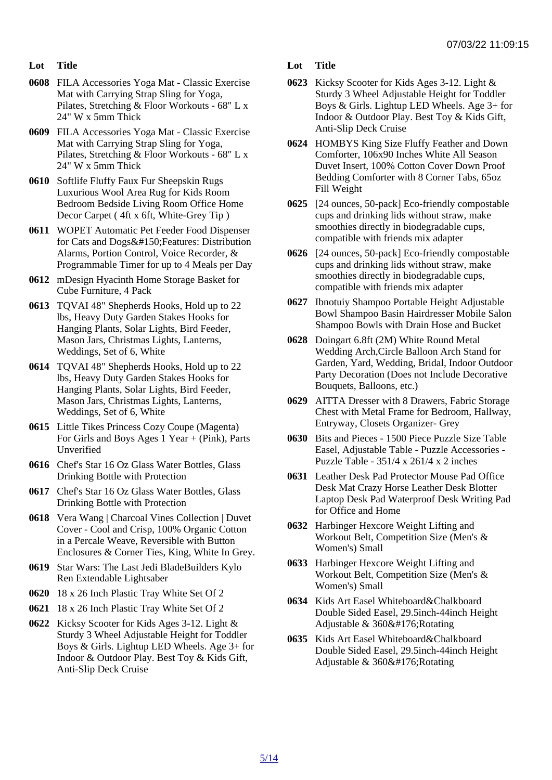- Lot Title
- 0608 FILA Accessories Yoga Mat Classic Exercise Mat with Carrying Strap Sling for Yoga, Pilates, Stretching & Floor Workouts - 68" L x 24" W x 5mm Thick
- 0609 FILA Accessories Yoga Mat Classic Exercise Mat with Carrying Strap Sling for Yoga, Pilates, Stretching & Floor Workouts - 68" L x 24" W x 5mm Thick
- 0610 Softlife Fluffy Faux Fur Sheepskin Rugs Luxurious Wool Area Rug for Kids Room Bedroom Bedside Living Room Office Home Decor Carpet ( 4ft x 6ft, White-Grey Tip )
- 0611 WOPET Automatic Pet Feeder Food Dispenser for Cats and Dogs– Features: Distribution Alarms, Portion Control, Voice Recorder, & Programmable Timer for up to 4 Meals per Day
- 0612 mDesign Hyacinth Home Storage Basket for Cube Furniture, 4 Pack
- 0613 TQVAI 48" Shepherds Hooks, Hold up to 22 lbs, Heavy Duty Garden Stakes Hooks for Hanging Plants, Solar Lights, Bird Feeder, Mason Jars, Christmas Lights, Lanterns, Weddings, Set of 6, White
- 0614 TQVAI 48" Shepherds Hooks, Hold up to 22 lbs, Heavy Duty Garden Stakes Hooks for Hanging Plants, Solar Lights, Bird Feeder, Mason Jars, Christmas Lights, Lanterns, Weddings, Set of 6, White
- 0615 Little Tikes Princess Cozy Coupe (Magenta) For Girls and Boys Ages 1 Year + (Pink), Parts Unverified
- 0616 Chef's Star 16 Oz Glass Water Bottles, Glass Drinking Bottle with Protection
- 0617 Chef's Star 16 Oz Glass Water Bottles, Glass Drinking Bottle with Protection
- 0618 Vera Wang | Charcoal Vines Collection | Duvet Cover - Cool and Crisp, 100% Organic Cotton in a Percale Weave, Reversible with Button Enclosures & Corner Ties, King, White In Grey.
- 0619 Star Wars: The Last Jedi BladeBuilders Kylo Ren Extendable Lightsaber
- 0620 18 x 26 Inch Plastic Tray White Set Of 2
- 0621 18 x 26 Inch Plastic Tray White Set Of 2
- 0622 Kicksy Scooter for Kids Ages 3-12. Light & Sturdy 3 Wheel Adjustable Height for Toddler Boys & Girls. Lightup LED Wheels. Age 3+ for Indoor & Outdoor Play. Best Toy & Kids Gift, Anti-Slip Deck Cruise
- Lot Title
- 0623 Kicksy Scooter for Kids Ages 3-12. Light & Sturdy 3 Wheel Adjustable Height for Toddler Boys & Girls. Lightup LED Wheels. Age 3+ for Indoor & Outdoor Play. Best Toy & Kids Gift, Anti-Slip Deck Cruise
- 0624 HOMBYS King Size Fluffy Feather and Down Comforter, 106x90 Inches White All Season Duvet Insert, 100% Cotton Cover Down Proof Bedding Comforter with 8 Corner Tabs, 65oz Fill Weight
- 0625 [24 ounces, 50-pack] Eco-friendly compostable cups and drinking lids without straw, make smoothies directly in biodegradable cups, compatible with friends mix adapter
- 0626 [24 ounces, 50-pack] Eco-friendly compostable cups and drinking lids without straw, make smoothies directly in biodegradable cups, compatible with friends mix adapter
- 0627 Ibnotuiy Shampoo Portable Height Adjustable Bowl Shampoo Basin Hairdresser Mobile Salon Shampoo Bowls with Drain Hose and Bucket
- 0628 Doingart 6.8ft (2M) White Round Metal Wedding Arch,Circle Balloon Arch Stand for Garden, Yard, Wedding, Bridal, Indoor Outdoor Party Decoration (Does not Include Decorative Bouquets, Balloons, etc.)
- 0629 AITTA Dresser with 8 Drawers, Fabric Storage Chest with Metal Frame for Bedroom, Hallway, Entryway, Closets Organizer- Grey
- 0630 Bits and Pieces 1500 Piece Puzzle Size Table Easel, Adjustable Table - Puzzle Accessories - Puzzle Table - 351/4 x 261/4 x 2 inches
- 0631 Leather Desk Pad Protector Mouse Pad Office Desk Mat Crazy Horse Leather Desk Blotter Laptop Desk Pad Waterproof Desk Writing Pad for Office and Home
- 0632 Harbinger Hexcore Weight Lifting and Workout Belt, Competition Size (Men's & Women's) Small
- 0633 Harbinger Hexcore Weight Lifting and Workout Belt, Competition Size (Men's & Women's) Small
- 0634 Kids Art Easel Whiteboard&Chalkboard Double Sided Easel, 29.5inch-44inch Height Adjustable & 360° Rotating
- 0635 Kids Art Easel Whiteboard&Chalkboard Double Sided Easel, 29.5inch-44inch Height Adjustable & 360° Rotating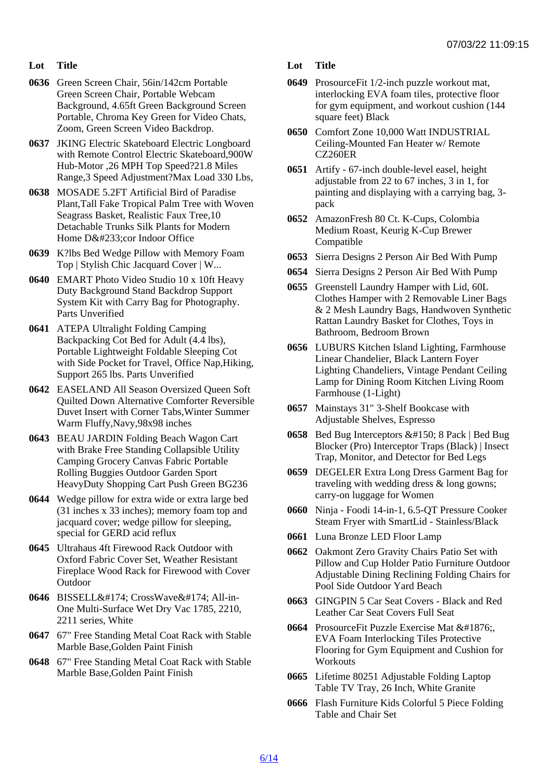- Lot Title
- 0636 Green Screen Chair, 56in/142cm Portable Green Screen Chair, Portable Webcam Background, 4.65ft Green Background Screen Portable, Chroma Key Green for Video Chats, Zoom, Green Screen Video Backdrop.
- 0637 JKING Electric Skateboard Electric Longboard with Remote Control Electric Skateboard,900W Hub-Motor ,26 MPH Top Speed?21.8 Miles Range,3 Speed Adjustment?Max Load 330 Lbs,
- 0638 MOSADE 5.2FT Artificial Bird of Paradise Plant,Tall Fake Tropical Palm Tree with Woven Seagrass Basket, Realistic Faux Tree,10 Detachable Trunks Silk Plants for Modern Home Décor Indoor Office
- 0639 K?lbs Bed Wedge Pillow with Memory Foam Top | Stylish Chic Jacquard Cover | W...
- 0640 EMART Photo Video Studio 10 x 10ft Heavy Duty Background Stand Backdrop Support System Kit with Carry Bag for Photography. Parts Unverified
- 0641 ATEPA Ultralight Folding Camping Backpacking Cot Bed for Adult (4.4 lbs), Portable Lightweight Foldable Sleeping Cot with Side Pocket for Travel, Office Nap,Hiking, Support 265 lbs. Parts Unverified
- 0642 EASELAND All Season Oversized Queen Soft Quilted Down Alternative Comforter Reversible Duvet Insert with Corner Tabs,Winter Summer Warm Fluffy,Navy,98x98 inches
- 0643 BEAU JARDIN Folding Beach Wagon Cart with Brake Free Standing Collapsible Utility Camping Grocery Canvas Fabric Portable Rolling Buggies Outdoor Garden Sport HeavyDuty Shopping Cart Push Green BG236
- 0644 Wedge pillow for extra wide or extra large bed (31 inches x 33 inches); memory foam top and jacquard cover; wedge pillow for sleeping, special for GERD acid reflux
- 0645 Ultrahaus 4ft Firewood Rack Outdoor with Oxford Fabric Cover Set, Weather Resistant Fireplace Wood Rack for Firewood with Cover **Outdoor**
- 0646 BISSELL® CrossWave® All-in-One Multi-Surface Wet Dry Vac 1785, 2210, 2211 series, White
- 0647 67" Free Standing Metal Coat Rack with Stable Marble Base,Golden Paint Finish
- 0648 67" Free Standing Metal Coat Rack with Stable Marble Base,Golden Paint Finish

Lot Title

- 0649 ProsourceFit 1/2-inch puzzle workout mat, interlocking EVA foam tiles, protective floor for gym equipment, and workout cushion (144 square feet) Black
- 0650 Comfort Zone 10,000 Watt INDUSTRIAL Ceiling-Mounted Fan Heater w/ Remote CZ260ER
- 0651 Artify 67-inch double-level easel, height adjustable from 22 to 67 inches, 3 in 1, for painting and displaying with a carrying bag, 3 pack
- 0652 AmazonFresh 80 Ct. K-Cups, Colombia Medium Roast, Keurig K-Cup Brewer Compatible
- 0653 Sierra Designs 2 Person Air Bed With Pump
- 0654 Sierra Designs 2 Person Air Bed With Pump
- 0655 Greenstell Laundry Hamper with Lid, 60L Clothes Hamper with 2 Removable Liner Bags & 2 Mesh Laundry Bags, Handwoven Synthetic Rattan Laundry Basket for Clothes, Toys in Bathroom, Bedroom Brown
- 0656 LUBURS Kitchen Island Lighting, Farmhouse Linear Chandelier, Black Lantern Foyer Lighting Chandeliers, Vintage Pendant Ceiling Lamp for Dining Room Kitchen Living Room Farmhouse (1-Light)
- 0657 Mainstays 31" 3-Shelf Bookcase with Adjustable Shelves, Espresso
- 0658 Bed Bug Interceptors 8 Pack | Bed Bug Blocker (Pro) Interceptor Traps (Black) | Insect Trap, Monitor, and Detector for Bed Legs
- 0659 DEGELER Extra Long Dress Garment Bag for traveling with wedding dress & long gowns; carry-on luggage for Women
- 0660 Ninja Foodi 14-in-1, 6.5-QT Pressure Cooker Steam Fryer with SmartLid - Stainless/Black
- 0661 Luna Bronze LED Floor Lamp
- 0662 Oakmont Zero Gravity Chairs Patio Set with Pillow and Cup Holder Patio Furniture Outdoor Adjustable Dining Reclining Folding Chairs for Pool Side Outdoor Yard Beach
- 0663 GINGPIN 5 Car Seat Covers Black and Red Leather Car Seat Covers Full Seat
- 0664 ProsourceFit Puzzle Exercise Mat ݔ EVA Foam Interlocking Tiles Protective Flooring for Gym Equipment and Cushion for **Workouts**
- 0665 Lifetime 80251 Adjustable Folding Laptop Table TV Tray, 26 Inch, White Granite
- 0666 Flash Furniture Kids Colorful 5 Piece Folding Table and Chair Set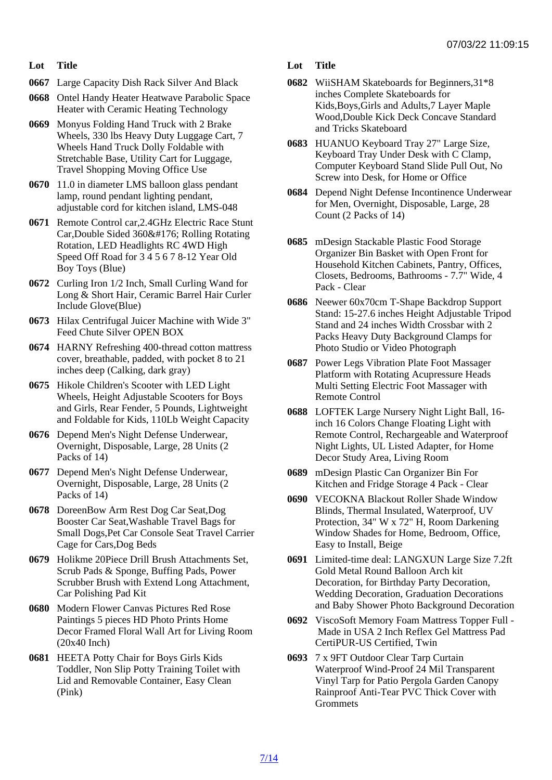- Lot Title
- 0667 Large Capacity Dish Rack Silver And Black
- 0668 Ontel Handy Heater Heatwave Parabolic Space Heater with Ceramic Heating Technology
- 0669 Monyus Folding Hand Truck with 2 Brake Wheels, 330 lbs Heavy Duty Luggage Cart, 7 Wheels Hand Truck Dolly Foldable with Stretchable Base, Utility Cart for Luggage, Travel Shopping Moving Office Use
- 0670 11.0 in diameter LMS balloon glass pendant lamp, round pendant lighting pendant, adjustable cord for kitchen island, LMS-048
- 0671 Remote Control car,2.4GHz Electric Race Stunt Car, Double Sided 360° Rolling Rotating Rotation, LED Headlights RC 4WD High Speed Off Road for 3 4 5 6 7 8-12 Year Old Boy Toys (Blue)
- 0672 Curling Iron 1/2 Inch, Small Curling Wand for Long & Short Hair, Ceramic Barrel Hair Curler Include Glove(Blue)
- 0673 Hilax Centrifugal Juicer Machine with Wide 3" Feed Chute Silver OPEN BOX
- 0674 HARNY Refreshing 400-thread cotton mattress cover, breathable, padded, with pocket 8 to 21 inches deep (Calking, dark gray)
- 0675 Hikole Children's Scooter with LED Light Wheels, Height Adjustable Scooters for Boys and Girls, Rear Fender, 5 Pounds, Lightweight and Foldable for Kids, 110Lb Weight Capacity
- 0676 Depend Men's Night Defense Underwear, Overnight, Disposable, Large, 28 Units (2 Packs of 14)
- 0677 Depend Men's Night Defense Underwear, Overnight, Disposable, Large, 28 Units (2 Packs of 14)
- 0678 DoreenBow Arm Rest Dog Car Seat,Dog Booster Car Seat,Washable Travel Bags for Small Dogs,Pet Car Console Seat Travel Carrier Cage for Cars,Dog Beds
- 0679 Holikme 20Piece Drill Brush Attachments Set, Scrub Pads & Sponge, Buffing Pads, Power Scrubber Brush with Extend Long Attachment, Car Polishing Pad Kit
- 0680 Modern Flower Canvas Pictures Red Rose Paintings 5 pieces HD Photo Prints Home Decor Framed Floral Wall Art for Living Room (20x40 Inch)
- 0681 HEETA Potty Chair for Boys Girls Kids Toddler, Non Slip Potty Training Toilet with Lid and Removable Container, Easy Clean (Pink)
- Lot Title
- 0682 WiiSHAM Skateboards for Beginners,31\*8 inches Complete Skateboards for Kids,Boys,Girls and Adults,7 Layer Maple Wood,Double Kick Deck Concave Standard and Tricks Skateboard
- 0683 HUANUO Keyboard Tray 27" Large Size, Keyboard Tray Under Desk with C Clamp, Computer Keyboard Stand Slide Pull Out, No Screw into Desk, for Home or Office
- 0684 Depend Night Defense Incontinence Underwear for Men, Overnight, Disposable, Large, 28 Count (2 Packs of 14)
- 0685 mDesign Stackable Plastic Food Storage Organizer Bin Basket with Open Front for Household Kitchen Cabinets, Pantry, Offices, Closets, Bedrooms, Bathrooms - 7.7" Wide, 4 Pack - Clear
- 0686 Neewer 60x70cm T-Shape Backdrop Support Stand: 15-27.6 inches Height Adjustable Tripod Stand and 24 inches Width Crossbar with 2 Packs Heavy Duty Background Clamps for Photo Studio or Video Photograph
- 0687 Power Legs Vibration Plate Foot Massager Platform with Rotating Acupressure Heads Multi Setting Electric Foot Massager with Remote Control
- 0688 LOFTEK Large Nursery Night Light Ball, 16 inch 16 Colors Change Floating Light with Remote Control, Rechargeable and Waterproof Night Lights, UL Listed Adapter, for Home Decor Study Area, Living Room
- 0689 mDesign Plastic Can Organizer Bin For Kitchen and Fridge Storage 4 Pack - Clear
- 0690 VECOKNA Blackout Roller Shade Window Blinds, Thermal Insulated, Waterproof, UV Protection, 34" W x 72" H, Room Darkening Window Shades for Home, Bedroom, Office, Easy to Install, Beige
- 0691 Limited-time deal: LANGXUN Large Size 7.2ft Gold Metal Round Balloon Arch kit Decoration, for Birthday Party Decoration, Wedding Decoration, Graduation Decorations and Baby Shower Photo Background Decoration
- 0692 ViscoSoft Memory Foam Mattress Topper Full Made in USA 2 Inch Reflex Gel Mattress Pad CertiPUR-US Certified, Twin
- 0693 7 x 9FT Outdoor Clear Tarp Curtain Waterproof Wind-Proof 24 Mil Transparent Vinyl Tarp for Patio Pergola Garden Canopy Rainproof Anti-Tear PVC Thick Cover with **Grommets**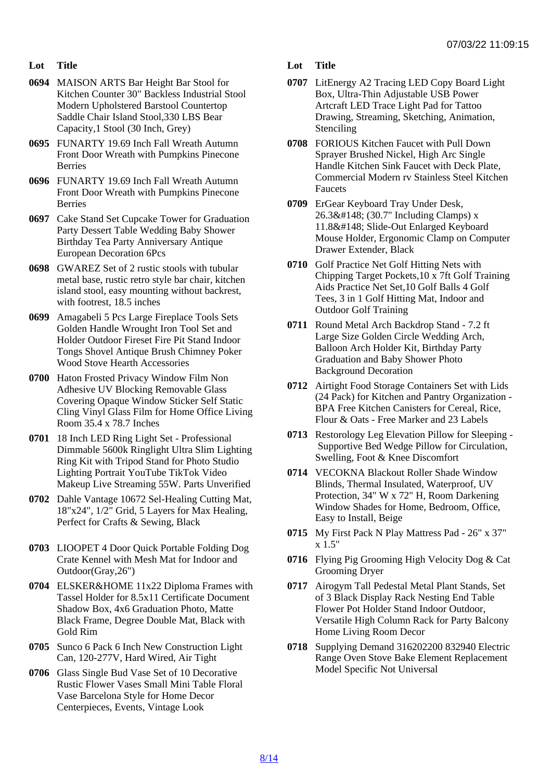- Lot Title
- 0694 MAISON ARTS Bar Height Bar Stool for Kitchen Counter 30" Backless Industrial Stool Modern Upholstered Barstool Countertop Saddle Chair Island Stool,330 LBS Bear Capacity,1 Stool (30 Inch, Grey)
- 0695 FUNARTY 19.69 Inch Fall Wreath Autumn Front Door Wreath with Pumpkins Pinecone Berries
- 0696 FUNARTY 19.69 Inch Fall Wreath Autumn Front Door Wreath with Pumpkins Pinecone Berries
- 0697 Cake Stand Set Cupcake Tower for Graduation Party Dessert Table Wedding Baby Shower Birthday Tea Party Anniversary Antique European Decoration 6Pcs
- 0698 GWAREZ Set of 2 rustic stools with tubular metal base, rustic retro style bar chair, kitchen island stool, easy mounting without backrest, with footrest, 18.5 inches
- 0699 Amagabeli 5 Pcs Large Fireplace Tools Sets Golden Handle Wrought Iron Tool Set and Holder Outdoor Fireset Fire Pit Stand Indoor Tongs Shovel Antique Brush Chimney Poker Wood Stove Hearth Accessories
- 0700 Haton Frosted Privacy Window Film Non Adhesive UV Blocking Removable Glass Covering Opaque Window Sticker Self Static Cling Vinyl Glass Film for Home Office Living Room 35.4 x 78.7 Inches
- 0701 18 Inch LED Ring Light Set Professional Dimmable 5600k Ringlight Ultra Slim Lighting Ring Kit with Tripod Stand for Photo Studio Lighting Portrait YouTube TikTok Video Makeup Live Streaming 55W. Parts Unverified
- 0702 Dahle Vantage 10672 Sel-Healing Cutting Mat, 18"x24", 1/2" Grid, 5 Layers for Max Healing, Perfect for Crafts & Sewing, Black
- 0703 LIOOPET 4 Door Quick Portable Folding Dog Crate Kennel with Mesh Mat for Indoor and Outdoor(Gray,26")
- 0704 ELSKER&HOME 11x22 Diploma Frames with Tassel Holder for 8.5x11 Certificate Document Shadow Box, 4x6 Graduation Photo, Matte Black Frame, Degree Double Mat, Black with Gold Rim
- 0705 Sunco 6 Pack 6 Inch New Construction Light Can, 120-277V, Hard Wired, Air Tight
- 0706 Glass Single Bud Vase Set of 10 Decorative Rustic Flower Vases Small Mini Table Floral Vase Barcelona Style for Home Decor Centerpieces, Events, Vintage Look
- Lot Title
- 0707 LitEnergy A2 Tracing LED Copy Board Light Box, Ultra-Thin Adjustable USB Power Artcraft LED Trace Light Pad for Tattoo Drawing, Streaming, Sketching, Animation, **Stenciling**
- 0708 FORIOUS Kitchen Faucet with Pull Down Sprayer Brushed Nickel, High Arc Single Handle Kitchen Sink Faucet with Deck Plate, Commercial Modern rv Stainless Steel Kitchen Faucets
- 0709 ErGear Keyboard Tray Under Desk, 26.3" (30.7" Including Clamps) x 11.8" Slide-Out Enlarged Keyboard Mouse Holder, Ergonomic Clamp on Computer Drawer Extender, Black
- 0710 Golf Practice Net Golf Hitting Nets with Chipping Target Pockets,10 x 7ft Golf Training Aids Practice Net Set,10 Golf Balls 4 Golf Tees, 3 in 1 Golf Hitting Mat, Indoor and Outdoor Golf Training
- 0711 Round Metal Arch Backdrop Stand 7.2 ft Large Size Golden Circle Wedding Arch, Balloon Arch Holder Kit, Birthday Party Graduation and Baby Shower Photo Background Decoration
- 0712 Airtight Food Storage Containers Set with Lids (24 Pack) for Kitchen and Pantry Organization - BPA Free Kitchen Canisters for Cereal, Rice, Flour & Oats - Free Marker and 23 Labels
- 0713 Restorology Leg Elevation Pillow for Sleeping Supportive Bed Wedge Pillow for Circulation, Swelling, Foot & Knee Discomfort
- 0714 VECOKNA Blackout Roller Shade Window Blinds, Thermal Insulated, Waterproof, UV Protection, 34" W x 72" H, Room Darkening Window Shades for Home, Bedroom, Office, Easy to Install, Beige
- 0715 My First Pack N Play Mattress Pad 26" x 37" x 1.5"
- 0716 Flying Pig Grooming High Velocity Dog & Cat Grooming Dryer
- 0717 Airogym Tall Pedestal Metal Plant Stands, Set of 3 Black Display Rack Nesting End Table Flower Pot Holder Stand Indoor Outdoor, Versatile High Column Rack for Party Balcony Home Living Room Decor
- 0718 Supplying Demand 316202200 832940 Electric Range Oven Stove Bake Element Replacement Model Specific Not Universal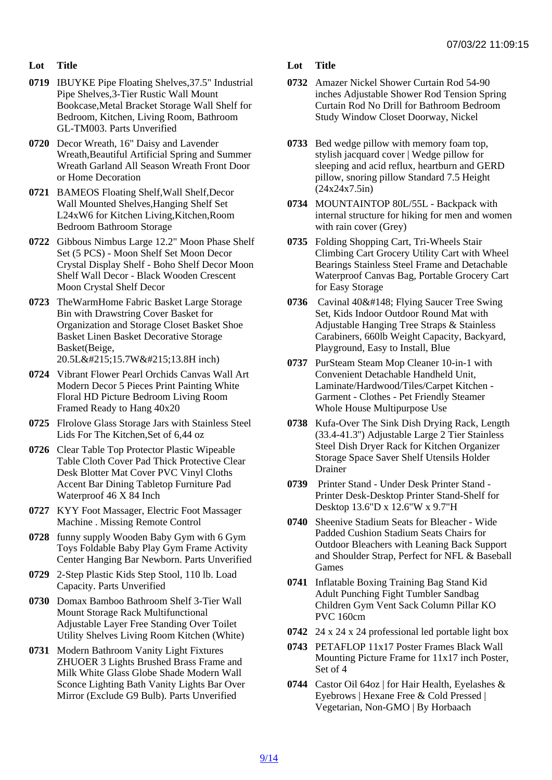- Lot Title
- 0719 IBUYKE Pipe Floating Shelves,37.5" Industrial Pipe Shelves,3-Tier Rustic Wall Mount Bookcase,Metal Bracket Storage Wall Shelf for Bedroom, Kitchen, Living Room, Bathroom GL-TM003. Parts Unverified
- 0720 Decor Wreath, 16" Daisy and Lavender Wreath,Beautiful Artificial Spring and Summer Wreath Garland All Season Wreath Front Door or Home Decoration
- 0721 BAMEOS Floating Shelf,Wall Shelf,Decor Wall Mounted Shelves,Hanging Shelf Set L24xW6 for Kitchen Living,Kitchen,Room Bedroom Bathroom Storage
- 0722 Gibbous Nimbus Large 12.2" Moon Phase Shelf Set (5 PCS) - Moon Shelf Set Moon Decor Crystal Display Shelf - Boho Shelf Decor Moon Shelf Wall Decor - Black Wooden Crescent Moon Crystal Shelf Decor
- 0723 TheWarmHome Fabric Basket Large Storage Bin with Drawstring Cover Basket for Organization and Storage Closet Basket Shoe Basket Linen Basket Decorative Storage Basket(Beige, 20.5L×15.7W×13.8H inch)
- 0724 Vibrant Flower Pearl Orchids Canvas Wall Art Modern Decor 5 Pieces Print Painting White Floral HD Picture Bedroom Living Room Framed Ready to Hang 40x20
- 0725 Flrolove Glass Storage Jars with Stainless Steel Lids For The Kitchen,Set of 6,44 oz
- 0726 Clear Table Top Protector Plastic Wipeable Table Cloth Cover Pad Thick Protective Clear Desk Blotter Mat Cover PVC Vinyl Cloths Accent Bar Dining Tabletop Furniture Pad Waterproof 46 X 84 Inch
- 0727 KYY Foot Massager, Electric Foot Massager Machine . Missing Remote Control
- 0728 funny supply Wooden Baby Gym with 6 Gym Toys Foldable Baby Play Gym Frame Activity Center Hanging Bar Newborn. Parts Unverified
- 0729 2-Step Plastic Kids Step Stool, 110 lb. Load Capacity. Parts Unverified
- 0730 Domax Bamboo Bathroom Shelf 3-Tier Wall Mount Storage Rack Multifunctional Adjustable Layer Free Standing Over Toilet Utility Shelves Living Room Kitchen (White)
- 0731 Modern Bathroom Vanity Light Fixtures ZHUOER 3 Lights Brushed Brass Frame and Milk White Glass Globe Shade Modern Wall Sconce Lighting Bath Vanity Lights Bar Over Mirror (Exclude G9 Bulb). Parts Unverified
- Lot Title
- 0732 Amazer Nickel Shower Curtain Rod 54-90 inches Adjustable Shower Rod Tension Spring Curtain Rod No Drill for Bathroom Bedroom Study Window Closet Doorway, Nickel
- 0733 Bed wedge pillow with memory foam top, stylish jacquard cover | Wedge pillow for sleeping and acid reflux, heartburn and GERD pillow, snoring pillow Standard 7.5 Height (24x24x7.5in)
- 0734 MOUNTAINTOP 80L/55L Backpack with internal structure for hiking for men and women with rain cover (Grey)
- 0735 Folding Shopping Cart, Tri-Wheels Stair Climbing Cart Grocery Utility Cart with Wheel Bearings Stainless Steel Frame and Detachable Waterproof Canvas Bag, Portable Grocery Cart for Easy Storage
- 0736 Cavinal 40" Flying Saucer Tree Swing Set, Kids Indoor Outdoor Round Mat with Adjustable Hanging Tree Straps & Stainless Carabiners, 660lb Weight Capacity, Backyard, Playground, Easy to Install, Blue
- 0737 PurSteam Steam Mop Cleaner 10-in-1 with Convenient Detachable Handheld Unit, Laminate/Hardwood/Tiles/Carpet Kitchen - Garment - Clothes - Pet Friendly Steamer Whole House Multipurpose Use
- 0738 Kufa-Over The Sink Dish Drying Rack, Length (33.4-41.3'') Adjustable Large 2 Tier Stainless Steel Dish Dryer Rack for Kitchen Organizer Storage Space Saver Shelf Utensils Holder Drainer
- 0739 Printer Stand Under Desk Printer Stand Printer Desk-Desktop Printer Stand-Shelf for Desktop 13.6"D x 12.6"W x 9.7"H
- 0740 Sheenive Stadium Seats for Bleacher Wide Padded Cushion Stadium Seats Chairs for Outdoor Bleachers with Leaning Back Support and Shoulder Strap, Perfect for NFL & Baseball Games
- 0741 Inflatable Boxing Training Bag Stand Kid Adult Punching Fight Tumbler Sandbag Children Gym Vent Sack Column Pillar KO PVC 160cm
- 0742 24 x 24 x 24 professional led portable light box
- 0743 PETAFLOP 11x17 Poster Frames Black Wall Mounting Picture Frame for 11x17 inch Poster, Set of 4
- 0744 Castor Oil 64oz | for Hair Health, Eyelashes & Eyebrows | Hexane Free & Cold Pressed | Vegetarian, Non-GMO | By Horbaach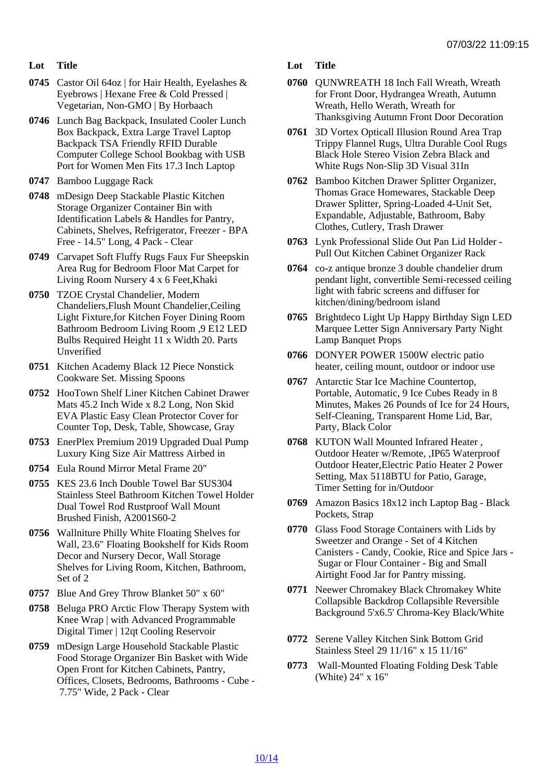- Lot Title
- 0745 Castor Oil 64oz | for Hair Health, Eyelashes & Eyebrows | Hexane Free & Cold Pressed | Vegetarian, Non-GMO | By Horbaach
- 0746 Lunch Bag Backpack, Insulated Cooler Lunch Box Backpack, Extra Large Travel Laptop Backpack TSA Friendly RFID Durable Computer College School Bookbag with USB Port for Women Men Fits 17.3 Inch Laptop
- 0747 Bamboo Luggage Rack
- 0748 mDesign Deep Stackable Plastic Kitchen Storage Organizer Container Bin with Identification Labels & Handles for Pantry, Cabinets, Shelves, Refrigerator, Freezer - BPA Free - 14.5" Long, 4 Pack - Clear
- 0749 Carvapet Soft Fluffy Rugs Faux Fur Sheepskin Area Rug for Bedroom Floor Mat Carpet for Living Room Nursery 4 x 6 Feet,Khaki
- 0750 TZOE Crystal Chandelier, Modern Chandeliers,Flush Mount Chandelier,Ceiling Light Fixture,for Kitchen Foyer Dining Room Bathroom Bedroom Living Room ,9 E12 LED Bulbs Required Height 11 x Width 20. Parts Unverified
- 0751 Kitchen Academy Black 12 Piece Nonstick Cookware Set. Missing Spoons
- 0752 HooTown Shelf Liner Kitchen Cabinet Drawer Mats 45.2 Inch Wide x 8.2 Long, Non Skid EVA Plastic Easy Clean Protector Cover for Counter Top, Desk, Table, Showcase, Gray
- 0753 EnerPlex Premium 2019 Upgraded Dual Pump Luxury King Size Air Mattress Airbed in
- 0754 Eula Round Mirror Metal Frame 20"
- 0755 KES 23.6 Inch Double Towel Bar SUS304 Stainless Steel Bathroom Kitchen Towel Holder Dual Towel Rod Rustproof Wall Mount Brushed Finish, A2001S60-2
- 0756 Wallniture Philly White Floating Shelves for Wall, 23.6" Floating Bookshelf for Kids Room Decor and Nursery Decor, Wall Storage Shelves for Living Room, Kitchen, Bathroom, Set of 2
- 0757 Blue And Grey Throw Blanket 50" x 60"
- 0758 Beluga PRO Arctic Flow Therapy System with Knee Wrap | with Advanced Programmable Digital Timer | 12qt Cooling Reservoir
- 0759 mDesign Large Household Stackable Plastic Food Storage Organizer Bin Basket with Wide Open Front for Kitchen Cabinets, Pantry, Offices, Closets, Bedrooms, Bathrooms - Cube - 7.75" Wide, 2 Pack - Clear
- Lot Title
- 0760 QUNWREATH 18 Inch Fall Wreath, Wreath for Front Door, Hydrangea Wreath, Autumn Wreath, Hello Werath, Wreath for Thanksgiving Autumn Front Door Decoration
- 0761 3D Vortex Opticall Illusion Round Area Trap Trippy Flannel Rugs, Ultra Durable Cool Rugs Black Hole Stereo Vision Zebra Black and White Rugs Non-Slip 3D Visual 31In
- 0762 Bamboo Kitchen Drawer Splitter Organizer, Thomas Grace Homewares, Stackable Deep Drawer Splitter, Spring-Loaded 4-Unit Set, Expandable, Adjustable, Bathroom, Baby Clothes, Cutlery, Trash Drawer
- 0763 Lynk Professional Slide Out Pan Lid Holder Pull Out Kitchen Cabinet Organizer Rack
- 0764 co-z antique bronze 3 double chandelier drum pendant light, convertible Semi-recessed ceiling light with fabric screens and diffuser for kitchen/dining/bedroom island
- 0765 Brightdeco Light Up Happy Birthday Sign LED Marquee Letter Sign Anniversary Party Night Lamp Banquet Props
- 0766 DONYER POWER 1500W electric patio heater, ceiling mount, outdoor or indoor use
- 0767 Antarctic Star Ice Machine Countertop, Portable, Automatic, 9 Ice Cubes Ready in 8 Minutes, Makes 26 Pounds of Ice for 24 Hours, Self-Cleaning, Transparent Home Lid, Bar, Party, Black Color
- 0768 KUTON Wall Mounted Infrared Heater , Outdoor Heater w/Remote, ,IP65 Waterproof Outdoor Heater,Electric Patio Heater 2 Power Setting, Max 5118BTU for Patio, Garage, Timer Setting for in/Outdoor
- 0769 Amazon Basics 18x12 inch Laptop Bag Black Pockets, Strap
- 0770 Glass Food Storage Containers with Lids by Sweetzer and Orange - Set of 4 Kitchen Canisters - Candy, Cookie, Rice and Spice Jars - Sugar or Flour Container - Big and Small Airtight Food Jar for Pantry missing.
- 0771 Neewer Chromakey Black Chromakey White Collapsible Backdrop Collapsible Reversible Background 5'x6.5' Chroma-Key Black/White
- 0772 Serene Valley Kitchen Sink Bottom Grid Stainless Steel 29 11/16" x 15 11/16"
- 0773 Wall-Mounted Floating Folding Desk Table (White) 24" x 16"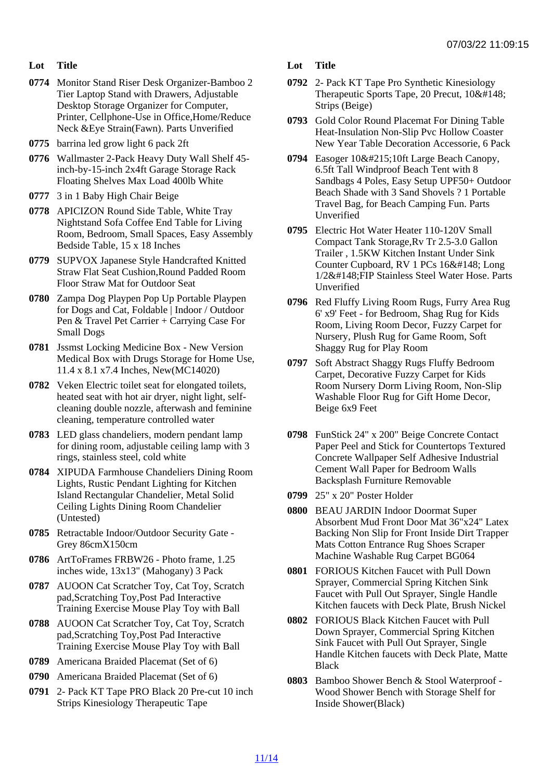- Lot Title
- 0774 Monitor Stand Riser Desk Organizer-Bamboo 2 Tier Laptop Stand with Drawers, Adjustable Desktop Storage Organizer for Computer, Printer, Cellphone-Use in Office,Home/Reduce Neck &Eye Strain(Fawn). Parts Unverified
- 0775 barrina led grow light 6 pack 2ft
- 0776 Wallmaster 2-Pack Heavy Duty Wall Shelf 45 inch-by-15-inch 2x4ft Garage Storage Rack Floating Shelves Max Load 400lb White
- 0777 3 in 1 Baby High Chair Beige
- 0778 APICIZON Round Side Table, White Tray Nightstand Sofa Coffee End Table for Living Room, Bedroom, Small Spaces, Easy Assembly Bedside Table, 15 x 18 Inches
- 0779 SUPVOX Japanese Style Handcrafted Knitted Straw Flat Seat Cushion,Round Padded Room Floor Straw Mat for Outdoor Seat
- 0780 Zampa Dog Playpen Pop Up Portable Playpen for Dogs and Cat, Foldable | Indoor / Outdoor Pen & Travel Pet Carrier + Carrying Case For Small Dogs
- 0781 Jssmst Locking Medicine Box New Version Medical Box with Drugs Storage for Home Use, 11.4 x 8.1 x7.4 Inches, New(MC14020)
- 0782 Veken Electric toilet seat for elongated toilets, heated seat with hot air dryer, night light, selfcleaning double nozzle, afterwash and feminine cleaning, temperature controlled water
- 0783 LED glass chandeliers, modern pendant lamp for dining room, adjustable ceiling lamp with 3 rings, stainless steel, cold white
- 0784 XIPUDA Farmhouse Chandeliers Dining Room Lights, Rustic Pendant Lighting for Kitchen Island Rectangular Chandelier, Metal Solid Ceiling Lights Dining Room Chandelier (Untested)
- 0785 Retractable Indoor/Outdoor Security Gate Grey 86cmX150cm
- 0786 ArtToFrames FRBW26 Photo frame, 1.25 inches wide, 13x13" (Mahogany) 3 Pack
- 0787 AUOON Cat Scratcher Toy, Cat Toy, Scratch pad,Scratching Toy,Post Pad Interactive Training Exercise Mouse Play Toy with Ball
- 0788 AUOON Cat Scratcher Toy, Cat Toy, Scratch pad,Scratching Toy,Post Pad Interactive Training Exercise Mouse Play Toy with Ball
- 0789 Americana Braided Placemat (Set of 6)
- 0790 Americana Braided Placemat (Set of 6)
- 0791 2- Pack KT Tape PRO Black 20 Pre-cut 10 inch Strips Kinesiology Therapeutic Tape

Lot Title

- 0792 2- Pack KT Tape Pro Synthetic Kinesiology Therapeutic Sports Tape, 20 Precut, 10" Strips (Beige)
- 0793 Gold Color Round Placemat For Dining Table Heat-Insulation Non-Slip Pvc Hollow Coaster New Year Table Decoration Accessorie, 6 Pack
- 0794 Easoger 10×10ft Large Beach Canopy, 6.5ft Tall Windproof Beach Tent with 8 Sandbags 4 Poles, Easy Setup UPF50+ Outdoor Beach Shade with 3 Sand Shovels ? 1 Portable Travel Bag, for Beach Camping Fun. Parts **Unverified**
- 0795 Electric Hot Water Heater 110-120V Small Compact Tank Storage,Rv Tr 2.5-3.0 Gallon Trailer , 1.5KW Kitchen Instant Under Sink Counter Cupboard, RV 1 PCs 16" Long 1/2&#148: FIP Stainless Steel Water Hose. Parts Unverified
- 0796 Red Fluffy Living Room Rugs, Furry Area Rug 6' x9' Feet - for Bedroom, Shag Rug for Kids Room, Living Room Decor, Fuzzy Carpet for Nursery, Plush Rug for Game Room, Soft Shaggy Rug for Play Room
- 0797 Soft Abstract Shaggy Rugs Fluffy Bedroom Carpet, Decorative Fuzzy Carpet for Kids Room Nursery Dorm Living Room, Non-Slip Washable Floor Rug for Gift Home Decor, Beige 6x9 Feet
- 0798 FunStick 24" x 200" Beige Concrete Contact Paper Peel and Stick for Countertops Textured Concrete Wallpaper Self Adhesive Industrial Cement Wall Paper for Bedroom Walls Backsplash Furniture Removable
- 0799 25" x 20" Poster Holder
- 0800 BEAU JARDIN Indoor Doormat Super Absorbent Mud Front Door Mat 36"x24" Latex Backing Non Slip for Front Inside Dirt Trapper Mats Cotton Entrance Rug Shoes Scraper Machine Washable Rug Carpet BG064
- 0801 FORIOUS Kitchen Faucet with Pull Down Sprayer, Commercial Spring Kitchen Sink Faucet with Pull Out Sprayer, Single Handle Kitchen faucets with Deck Plate, Brush Nickel
- 0802 FORIOUS Black Kitchen Faucet with Pull Down Sprayer, Commercial Spring Kitchen Sink Faucet with Pull Out Sprayer, Single Handle Kitchen faucets with Deck Plate, Matte **Black**
- 0803 Bamboo Shower Bench & Stool Waterproof Wood Shower Bench with Storage Shelf for Inside Shower(Black)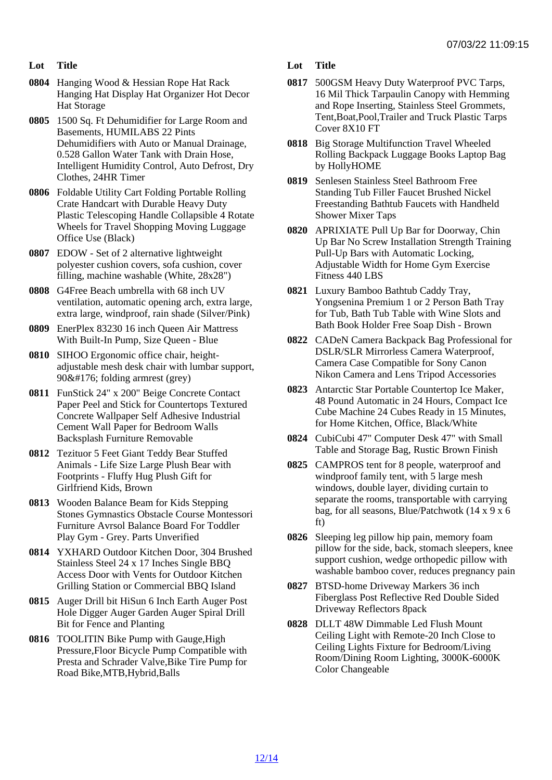- Lot Title
- 0804 Hanging Wood & Hessian Rope Hat Rack Hanging Hat Display Hat Organizer Hot Decor Hat Storage
- 0805 1500 Sq. Ft Dehumidifier for Large Room and Basements, HUMILABS 22 Pints Dehumidifiers with Auto or Manual Drainage, 0.528 Gallon Water Tank with Drain Hose, Intelligent Humidity Control, Auto Defrost, Dry Clothes, 24HR Timer
- 0806 Foldable Utility Cart Folding Portable Rolling Crate Handcart with Durable Heavy Duty Plastic Telescoping Handle Collapsible 4 Rotate Wheels for Travel Shopping Moving Luggage Office Use (Black)
- 0807 EDOW Set of 2 alternative lightweight polyester cushion covers, sofa cushion, cover filling, machine washable (White, 28x28")
- 0808 G4Free Beach umbrella with 68 inch UV ventilation, automatic opening arch, extra large, extra large, windproof, rain shade (Silver/Pink)
- 0809 EnerPlex 83230 16 inch Queen Air Mattress With Built-In Pump, Size Queen - Blue
- 0810 SIHOO Ergonomic office chair, heightadjustable mesh desk chair with lumbar support, 90° folding armrest (grey)
- 0811 FunStick 24" x 200" Beige Concrete Contact Paper Peel and Stick for Countertops Textured Concrete Wallpaper Self Adhesive Industrial Cement Wall Paper for Bedroom Walls Backsplash Furniture Removable
- 0812 Tezituor 5 Feet Giant Teddy Bear Stuffed Animals - Life Size Large Plush Bear with Footprints - Fluffy Hug Plush Gift for Girlfriend Kids, Brown
- 0813 Wooden Balance Beam for Kids Stepping Stones Gymnastics Obstacle Course Montessori Furniture Avrsol Balance Board For Toddler Play Gym - Grey. Parts Unverified
- 0814 YXHARD Outdoor Kitchen Door, 304 Brushed Stainless Steel 24 x 17 Inches Single BBQ Access Door with Vents for Outdoor Kitchen Grilling Station or Commercial BBQ Island
- 0815 Auger Drill bit HiSun 6 Inch Earth Auger Post Hole Digger Auger Garden Auger Spiral Drill Bit for Fence and Planting
- 0816 TOOLITIN Bike Pump with Gauge,High Pressure,Floor Bicycle Pump Compatible with Presta and Schrader Valve,Bike Tire Pump for Road Bike,MTB,Hybrid,Balls
- Lot Title
- 0817 500GSM Heavy Duty Waterproof PVC Tarps, 16 Mil Thick Tarpaulin Canopy with Hemming and Rope Inserting, Stainless Steel Grommets, Tent,Boat,Pool,Trailer and Truck Plastic Tarps Cover 8X10 FT
- 0818 Big Storage Multifunction Travel Wheeled Rolling Backpack Luggage Books Laptop Bag by HollyHOME
- 0819 Senlesen Stainless Steel Bathroom Free Standing Tub Filler Faucet Brushed Nickel Freestanding Bathtub Faucets with Handheld Shower Mixer Taps
- 0820 APRIXIATE Pull Up Bar for Doorway, Chin Up Bar No Screw Installation Strength Training Pull-Up Bars with Automatic Locking, Adjustable Width for Home Gym Exercise Fitness 440 LBS
- 0821 Luxury Bamboo Bathtub Caddy Tray, Yongsenina Premium 1 or 2 Person Bath Tray for Tub, Bath Tub Table with Wine Slots and Bath Book Holder Free Soap Dish - Brown
- 0822 CADeN Camera Backpack Bag Professional for DSLR/SLR Mirrorless Camera Waterproof, Camera Case Compatible for Sony Canon Nikon Camera and Lens Tripod Accessories
- 0823 Antarctic Star Portable Countertop Ice Maker, 48 Pound Automatic in 24 Hours, Compact Ice Cube Machine 24 Cubes Ready in 15 Minutes, for Home Kitchen, Office, Black/White
- 0824 CubiCubi 47" Computer Desk 47" with Small Table and Storage Bag, Rustic Brown Finish
- 0825 CAMPROS tent for 8 people, waterproof and windproof family tent, with 5 large mesh windows, double layer, dividing curtain to separate the rooms, transportable with carrying bag, for all seasons, Blue/Patchwotk (14 x 9 x 6 ft)
- 0826 Sleeping leg pillow hip pain, memory foam pillow for the side, back, stomach sleepers, knee support cushion, wedge orthopedic pillow with washable bamboo cover, reduces pregnancy pain
- 0827 BTSD-home Driveway Markers 36 inch Fiberglass Post Reflective Red Double Sided Driveway Reflectors 8pack
- 0828 DLLT 48W Dimmable Led Flush Mount Ceiling Light with Remote-20 Inch Close to Ceiling Lights Fixture for Bedroom/Living Room/Dining Room Lighting, 3000K-6000K Color Changeable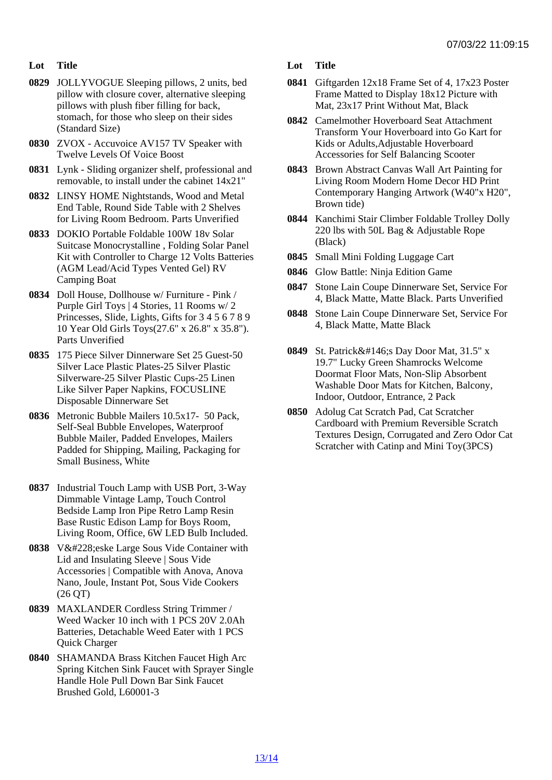- Lot Title
- 0829 JOLLYVOGUE Sleeping pillows, 2 units, bed pillow with closure cover, alternative sleeping pillows with plush fiber filling for back, stomach, for those who sleep on their sides (Standard Size)
- 0830 ZVOX Accuvoice AV157 TV Speaker with Twelve Levels Of Voice Boost
- 0831 Lynk Sliding organizer shelf, professional and removable, to install under the cabinet 14x21"
- 0832 LINSY HOME Nightstands, Wood and Metal End Table, Round Side Table with 2 Shelves for Living Room Bedroom. Parts Unverified
- 0833 DOKIO Portable Foldable 100W 18v Solar Suitcase Monocrystalline , Folding Solar Panel Kit with Controller to Charge 12 Volts Batteries (AGM Lead/Acid Types Vented Gel) RV Camping Boat
- 0834 Doll House, Dollhouse w/ Furniture Pink / Purple Girl Toys | 4 Stories, 11 Rooms w/ 2 Princesses, Slide, Lights, Gifts for 3 4 5 6 7 8 9 10 Year Old Girls Toys(27.6" x 26.8" x 35.8"). Parts Unverified
- 0835 175 Piece Silver Dinnerware Set 25 Guest-50 Silver Lace Plastic Plates-25 Silver Plastic Silverware-25 Silver Plastic Cups-25 Linen Like Silver Paper Napkins, FOCUSLINE Disposable Dinnerware Set
- 0836 Metronic Bubble Mailers 10.5x17- 50 Pack, Self-Seal Bubble Envelopes, Waterproof Bubble Mailer, Padded Envelopes, Mailers Padded for Shipping, Mailing, Packaging for Small Business, White
- 0837 Industrial Touch Lamp with USB Port, 3-Way Dimmable Vintage Lamp, Touch Control Bedside Lamp Iron Pipe Retro Lamp Resin Base Rustic Edison Lamp for Boys Room, Living Room, Office, 6W LED Bulb Included.
- 0838 Väeske Large Sous Vide Container with Lid and Insulating Sleeve | Sous Vide Accessories | Compatible with Anova, Anova Nano, Joule, Instant Pot, Sous Vide Cookers (26 QT)
- 0839 MAXLANDER Cordless String Trimmer / Weed Wacker 10 inch with 1 PCS 20V 2.0Ah Batteries, Detachable Weed Eater with 1 PCS Quick Charger
- 0840 SHAMANDA Brass Kitchen Faucet High Arc Spring Kitchen Sink Faucet with Sprayer Single Handle Hole Pull Down Bar Sink Faucet Brushed Gold, L60001-3
- Lot Title
- 0841 Giftgarden 12x18 Frame Set of 4, 17x23 Poster Frame Matted to Display 18x12 Picture with Mat, 23x17 Print Without Mat, Black
- 0842 Camelmother Hoverboard Seat Attachment Transform Your Hoverboard into Go Kart for Kids or Adults,Adjustable Hoverboard Accessories for Self Balancing Scooter
- 0843 Brown Abstract Canvas Wall Art Painting for Living Room Modern Home Decor HD Print Contemporary Hanging Artwork (W40"x H20", Brown tide)
- 0844 Kanchimi Stair Climber Foldable Trolley Dolly 220 lbs with 50L Bag & Adjustable Rope (Black)
- 0845 Small Mini Folding Luggage Cart
- 0846 Glow Battle: Ninja Edition Game
- 0847 Stone Lain Coupe Dinnerware Set, Service For 4, Black Matte, Matte Black. Parts Unverified
- 0848 Stone Lain Coupe Dinnerware Set, Service For 4, Black Matte, Matte Black
- 0849 St. Patrick' SDay Door Mat, 31.5" x 19.7" Lucky Green Shamrocks Welcome Doormat Floor Mats, Non-Slip Absorbent Washable Door Mats for Kitchen, Balcony, Indoor, Outdoor, Entrance, 2 Pack
- 0850 Adolug Cat Scratch Pad, Cat Scratcher Cardboard with Premium Reversible Scratch Textures Design, Corrugated and Zero Odor Cat Scratcher with Catinp and Mini Toy(3PCS)